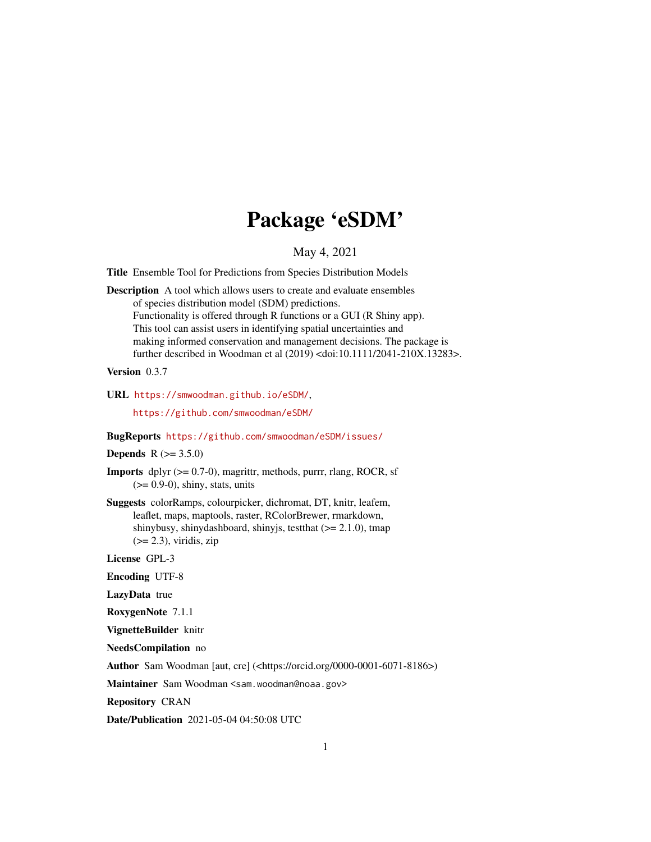# Package 'eSDM'

May 4, 2021

<span id="page-0-0"></span>Title Ensemble Tool for Predictions from Species Distribution Models

Description A tool which allows users to create and evaluate ensembles of species distribution model (SDM) predictions. Functionality is offered through R functions or a GUI (R Shiny app). This tool can assist users in identifying spatial uncertainties and making informed conservation and management decisions. The package is further described in Woodman et al (2019) <doi:10.1111/2041-210X.13283>.

#### Version 0.3.7

URL <https://smwoodman.github.io/eSDM/>,

<https://github.com/smwoodman/eSDM/>

#### BugReports <https://github.com/smwoodman/eSDM/issues/>

**Depends** R  $(>= 3.5.0)$ 

**Imports** dplyr  $(>= 0.7-0)$ , magrittr, methods, purrr, rlang, ROCR, sf  $(>= 0.9-0)$ , shiny, stats, units

Suggests colorRamps, colourpicker, dichromat, DT, knitr, leafem, leaflet, maps, maptools, raster, RColorBrewer, rmarkdown, shinybusy, shinydashboard, shinyjs, testthat  $(>= 2.1.0)$ , tmap  $(>= 2.3)$ , viridis, zip

License GPL-3

Encoding UTF-8

LazyData true

RoxygenNote 7.1.1

VignetteBuilder knitr

NeedsCompilation no

Author Sam Woodman [aut, cre] (<https://orcid.org/0000-0001-6071-8186>)

Maintainer Sam Woodman <sam.woodman@noaa.gov>

Repository CRAN

Date/Publication 2021-05-04 04:50:08 UTC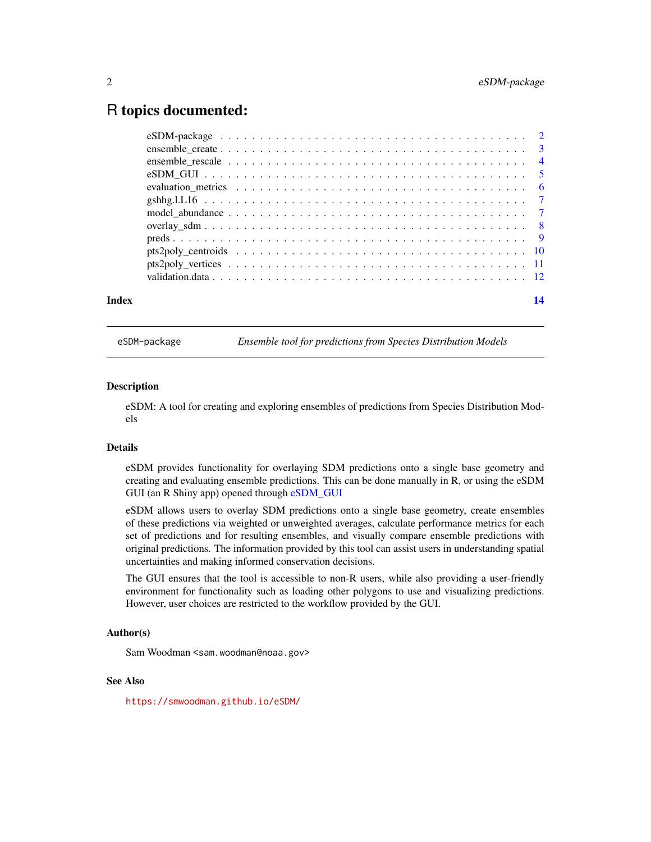# <span id="page-1-0"></span>R topics documented:

eSDM-package *Ensemble tool for predictions from Species Distribution Models*

# **Description**

eSDM: A tool for creating and exploring ensembles of predictions from Species Distribution Models

### Details

eSDM provides functionality for overlaying SDM predictions onto a single base geometry and creating and evaluating ensemble predictions. This can be done manually in R, or using the eSDM GUI (an R Shiny app) opened through [eSDM\\_GUI](#page-4-1)

eSDM allows users to overlay SDM predictions onto a single base geometry, create ensembles of these predictions via weighted or unweighted averages, calculate performance metrics for each set of predictions and for resulting ensembles, and visually compare ensemble predictions with original predictions. The information provided by this tool can assist users in understanding spatial uncertainties and making informed conservation decisions.

The GUI ensures that the tool is accessible to non-R users, while also providing a user-friendly environment for functionality such as loading other polygons to use and visualizing predictions. However, user choices are restricted to the workflow provided by the GUI.

# Author(s)

Sam Woodman <sam.woodman@noaa.gov>

# See Also

<https://smwoodman.github.io/eSDM/>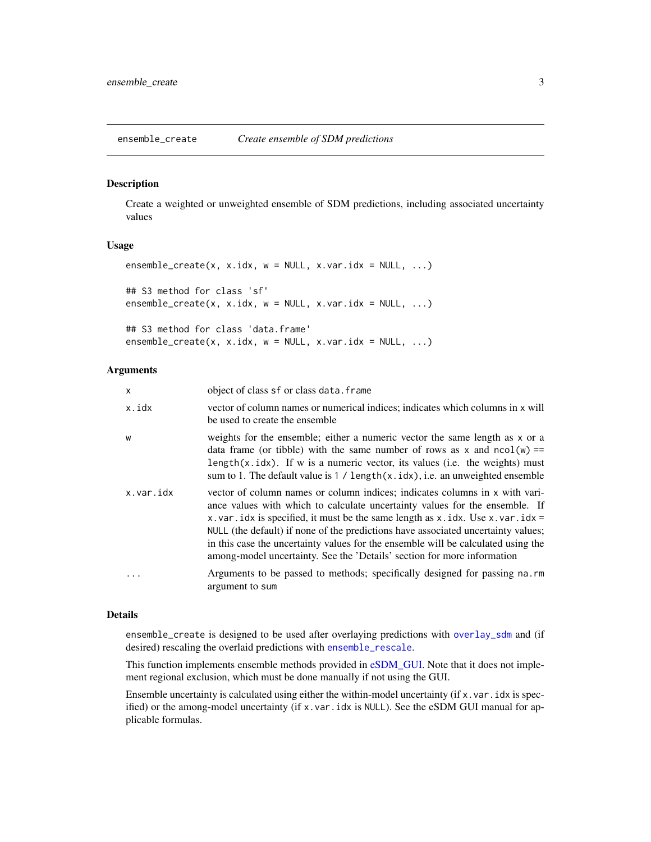<span id="page-2-1"></span><span id="page-2-0"></span>ensemble\_create *Create ensemble of SDM predictions*

#### Description

Create a weighted or unweighted ensemble of SDM predictions, including associated uncertainty values

# Usage

```
ensemble_ccreate(x, x.idx, w = NULL, x.var.idx = NULL, ...)## S3 method for class 'sf'
ensemble\_create(x, x.idx, w = NULL, x.var.idx = NULL, ...)## S3 method for class 'data.frame'
ensemble_ccreate(x, x.idx, w = NULL, x.var.idx = NULL, ...)
```
#### Arguments

| x         | object of class sf or class data. frame                                                                                                                                                                                                                                                                                                                                                                                                                                                              |
|-----------|------------------------------------------------------------------------------------------------------------------------------------------------------------------------------------------------------------------------------------------------------------------------------------------------------------------------------------------------------------------------------------------------------------------------------------------------------------------------------------------------------|
| x.idx     | vector of column names or numerical indices; indicates which columns in x will<br>be used to create the ensemble                                                                                                                                                                                                                                                                                                                                                                                     |
| W         | weights for the ensemble; either a numeric vector the same length as x or a<br>data frame (or tibble) with the same number of rows as x and $ncol(w) ==$<br>length $(x.idx)$ . If w is a numeric vector, its values (i.e. the weights) must<br>sum to 1. The default value is $1 /$ length $(x.idx)$ , i.e. an unweighted ensemble                                                                                                                                                                   |
| x.var.idx | vector of column names or column indices; indicates columns in x with vari-<br>ance values with which to calculate uncertainty values for the ensemble. If<br>x. var. idx is specified, it must be the same length as x. idx. Use x. var. idx =<br>NULL (the default) if none of the predictions have associated uncertainty values;<br>in this case the uncertainty values for the ensemble will be calculated using the<br>among-model uncertainty. See the 'Details' section for more information |
| .         | Arguments to be passed to methods; specifically designed for passing na.rm<br>argument to sum                                                                                                                                                                                                                                                                                                                                                                                                        |

# Details

ensemble\_create is designed to be used after overlaying predictions with [overlay\\_sdm](#page-7-1) and (if desired) rescaling the overlaid predictions with [ensemble\\_rescale](#page-3-1).

This function implements ensemble methods provided in [eSDM\\_GUI.](#page-4-1) Note that it does not implement regional exclusion, which must be done manually if not using the GUI.

Ensemble uncertainty is calculated using either the within-model uncertainty (if x.var.idx is specified) or the among-model uncertainty (if x.var.idx is NULL). See the eSDM GUI manual for applicable formulas.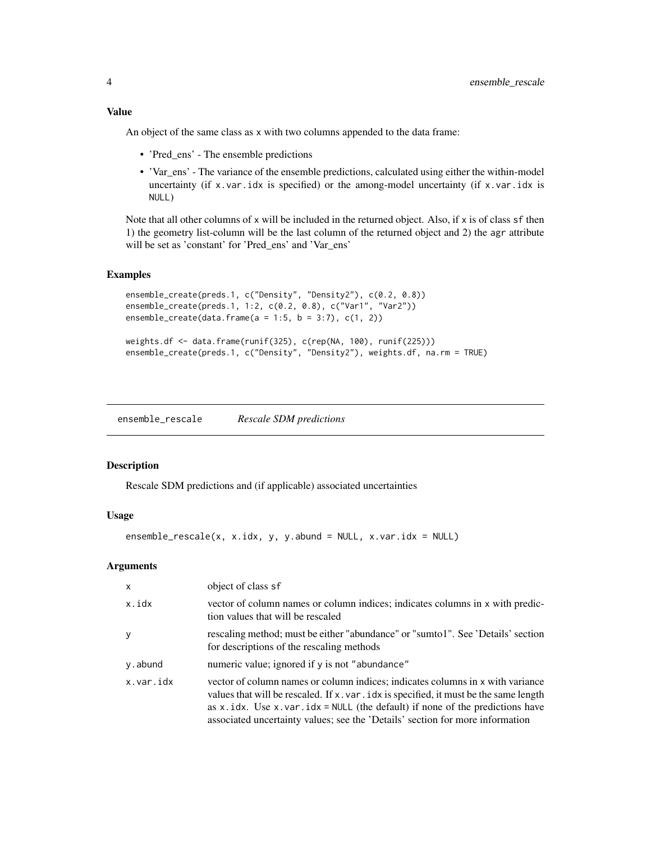<span id="page-3-0"></span>An object of the same class as x with two columns appended to the data frame:

- 'Pred\_ens' The ensemble predictions
- 'Var\_ens' The variance of the ensemble predictions, calculated using either the within-model uncertainty (if  $x$ , var. idx is specified) or the among-model uncertainty (if  $x$ , var. idx is NULL)

Note that all other columns of x will be included in the returned object. Also, if x is of class  $sf$  then 1) the geometry list-column will be the last column of the returned object and 2) the agr attribute will be set as 'constant' for 'Pred\_ens' and 'Var\_ens'

# Examples

```
ensemble_create(preds.1, c("Density", "Density2"), c(0.2, 0.8))
ensemble_create(preds.1, 1:2, c(0.2, 0.8), c("Var1", "Var2"))
ensemble_create(data.frame(a = 1:5, b = 3:7), c(1, 2))
weights.df <- data.frame(runif(325), c(rep(NA, 100), runif(225)))
ensemble_create(preds.1, c("Density", "Density2"), weights.df, na.rm = TRUE)
```
<span id="page-3-1"></span>ensemble\_rescale *Rescale SDM predictions*

#### **Description**

Rescale SDM predictions and (if applicable) associated uncertainties

# Usage

```
ensemble_rescale(x, x.idx, y, y.abund = NULL, x.var.idx = NULL)
```
### Arguments

| $\mathsf{x}$ | object of class sf                                                                                                                                                                                                                                                                                                                           |
|--------------|----------------------------------------------------------------------------------------------------------------------------------------------------------------------------------------------------------------------------------------------------------------------------------------------------------------------------------------------|
| x.idx        | vector of column names or column indices; indicates columns in x with predic-<br>tion values that will be rescaled                                                                                                                                                                                                                           |
| <b>V</b>     | rescaling method; must be either "abundance" or "sumto1". See 'Details' section<br>for descriptions of the rescaling methods                                                                                                                                                                                                                 |
| y.abund      | numeric value; ignored if y is not "abundance"                                                                                                                                                                                                                                                                                               |
| x.var.idx    | vector of column names or column indices; indicates columns in x with variance<br>values that will be rescaled. If x . var . idx is specified, it must be the same length<br>as x.idx. Use x.var.idx = $NULL$ (the default) if none of the predictions have<br>associated uncertainty values; see the 'Details' section for more information |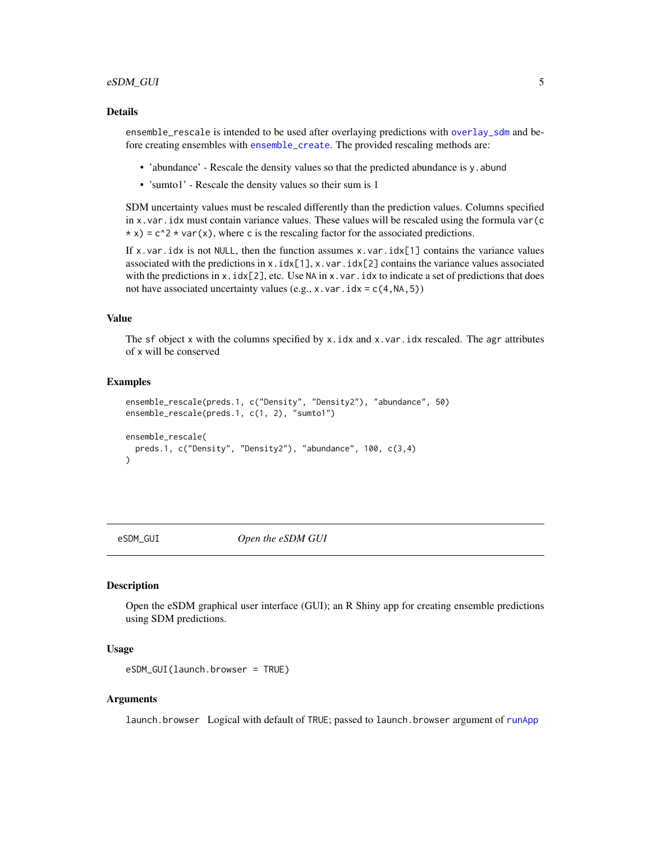# <span id="page-4-0"></span>eSDM\_GUI 5

#### Details

ensemble\_rescale is intended to be used after overlaying predictions with [overlay\\_sdm](#page-7-1) and before creating ensembles with [ensemble\\_create](#page-2-1). The provided rescaling methods are:

- 'abundance' Rescale the density values so that the predicted abundance is y. abund
- 'sumto1' Rescale the density values so their sum is 1

SDM uncertainty values must be rescaled differently than the prediction values. Columns specified in x.var.idx must contain variance values. These values will be rescaled using the formula var(c \* x) =  $c^2$  \* var(x), where c is the rescaling factor for the associated predictions.

If x.var.idx is not NULL, then the function assumes  $x.var.idx[1]$  contains the variance values associated with the predictions in  $x$ .  $idx[1]$ ,  $x$ .  $var$ .  $idx[2]$  contains the variance values associated with the predictions in  $x$ .  $idx[2]$ , etc. Use NA in  $x$ . var. idx to indicate a set of predictions that does not have associated uncertainty values (e.g., x, var,  $idx = c(4, NA, 5)$ )

#### Value

The sf object x with the columns specified by x.idx and x.var.idx rescaled. The agr attributes of x will be conserved

#### Examples

```
ensemble_rescale(preds.1, c("Density", "Density2"), "abundance", 50)
ensemble_rescale(preds.1, c(1, 2), "sumto1")
ensemble_rescale(
 preds.1, c("Density", "Density2"), "abundance", 100, c(3,4)
)
```
<span id="page-4-1"></span>

eSDM\_GUI *Open the eSDM GUI*

#### Description

Open the eSDM graphical user interface (GUI); an R Shiny app for creating ensemble predictions using SDM predictions.

# Usage

```
eSDM_GUI(launch.browser = TRUE)
```
# Arguments

launch.browser Logical with default of TRUE; passed to launch.browser argument of [runApp](#page-0-0)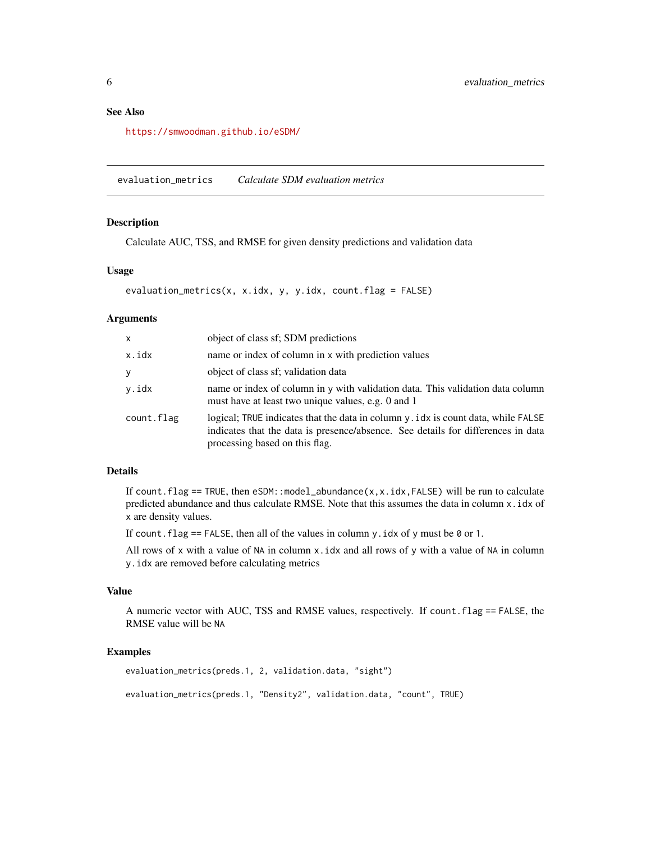# <span id="page-5-0"></span>See Also

<https://smwoodman.github.io/eSDM/>

evaluation\_metrics *Calculate SDM evaluation metrics*

# Description

Calculate AUC, TSS, and RMSE for given density predictions and validation data

#### Usage

```
evaluation_metrics(x, x.idx, y, y.idx, count.flag = FALSE)
```
#### Arguments

| X          | object of class sf; SDM predictions                                                                                                                                                                      |
|------------|----------------------------------------------------------------------------------------------------------------------------------------------------------------------------------------------------------|
| x.idx      | name or index of column in x with prediction values                                                                                                                                                      |
| У          | object of class sf; validation data                                                                                                                                                                      |
| v.idx      | name or index of column in y with validation data. This validation data column<br>must have at least two unique values, e.g. 0 and 1                                                                     |
| count.flag | logical; TRUE indicates that the data in column y . idx is count data, while FALSE<br>indicates that the data is presence/absence. See details for differences in data<br>processing based on this flag. |

# Details

If count.flag == TRUE, then eSDM::model\_abundance(x,x.idx,FALSE) will be run to calculate predicted abundance and thus calculate RMSE. Note that this assumes the data in column x.idx of x are density values.

If count. flag == FALSE, then all of the values in column y. idx of y must be  $\theta$  or 1.

All rows of x with a value of NA in column  $x$ , idx and all rows of y with a value of NA in column y.idx are removed before calculating metrics

# Value

A numeric vector with AUC, TSS and RMSE values, respectively. If count.flag == FALSE, the RMSE value will be NA

# Examples

```
evaluation_metrics(preds.1, 2, validation.data, "sight")
evaluation_metrics(preds.1, "Density2", validation.data, "count", TRUE)
```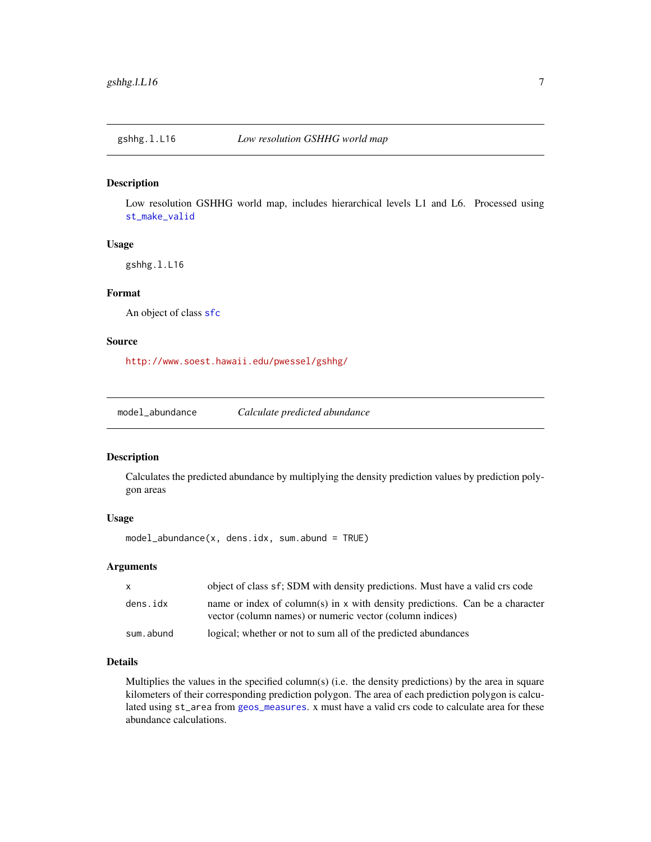<span id="page-6-0"></span>

#### Description

Low resolution GSHHG world map, includes hierarchical levels L1 and L6. Processed using [st\\_make\\_valid](#page-0-0)

# Usage

gshhg.l.L16

# Format

An object of class [sfc](#page-0-0)

#### Source

<http://www.soest.hawaii.edu/pwessel/gshhg/>

model\_abundance *Calculate predicted abundance*

# Description

Calculates the predicted abundance by multiplying the density prediction values by prediction polygon areas

#### Usage

model\_abundance(x, dens.idx, sum.abund = TRUE)

# Arguments

| $\mathsf{X}$ | object of class sf; SDM with density predictions. Must have a valid crs code                                                             |
|--------------|------------------------------------------------------------------------------------------------------------------------------------------|
| dens.idx     | name or index of column(s) in x with density predictions. Can be a character<br>vector (column names) or numeric vector (column indices) |
| sum.abund    | logical; whether or not to sum all of the predicted abundances                                                                           |

# Details

Multiplies the values in the specified column(s) (i.e. the density predictions) by the area in square kilometers of their corresponding prediction polygon. The area of each prediction polygon is calculated using st\_area from [geos\\_measures](#page-0-0). x must have a valid crs code to calculate area for these abundance calculations.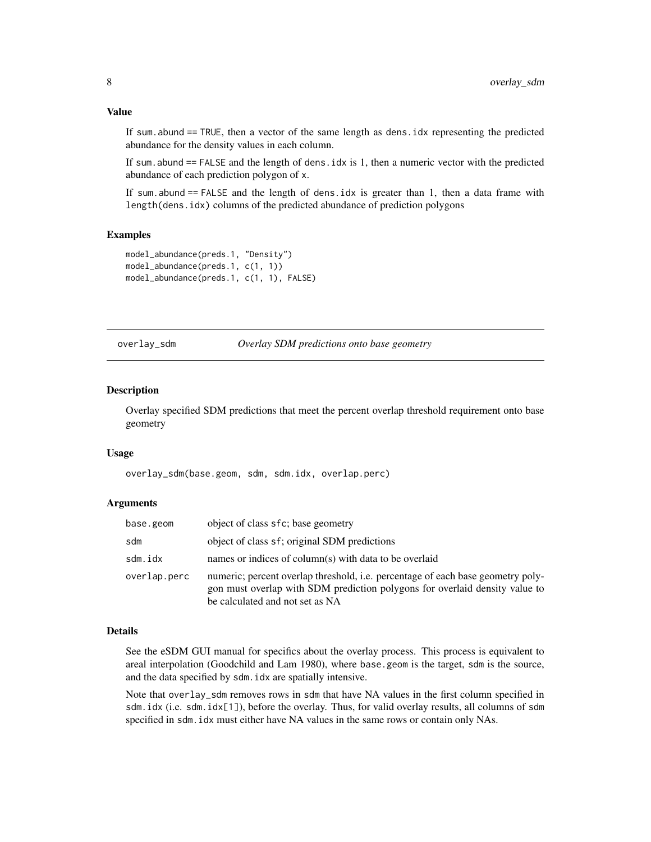<span id="page-7-0"></span>If sum. abund  $==$  TRUE, then a vector of the same length as dens. idx representing the predicted abundance for the density values in each column.

If sum.abund  $==$  FALSE and the length of dens. idx is 1, then a numeric vector with the predicted abundance of each prediction polygon of x.

If sum.abund == FALSE and the length of dens.idx is greater than 1, then a data frame with length(dens.idx) columns of the predicted abundance of prediction polygons

# Examples

```
model_abundance(preds.1, "Density")
model_abundance(preds.1, c(1, 1))
model_abundance(preds.1, c(1, 1), FALSE)
```
<span id="page-7-1"></span>overlay\_sdm *Overlay SDM predictions onto base geometry*

#### Description

Overlay specified SDM predictions that meet the percent overlap threshold requirement onto base geometry

#### Usage

overlay\_sdm(base.geom, sdm, sdm.idx, overlap.perc)

# Arguments

| base.geom    | object of class sfc; base geometry                                                                                                                                                                |
|--------------|---------------------------------------------------------------------------------------------------------------------------------------------------------------------------------------------------|
| sdm          | object of class sf; original SDM predictions                                                                                                                                                      |
| sdm.idx      | names or indices of column(s) with data to be overlaid                                                                                                                                            |
| overlap.perc | numeric; percent overlap threshold, i.e. percentage of each base geometry poly-<br>gon must overlap with SDM prediction polygons for overlaid density value to<br>be calculated and not set as NA |

#### Details

See the eSDM GUI manual for specifics about the overlay process. This process is equivalent to areal interpolation (Goodchild and Lam 1980), where base.geom is the target, sdm is the source, and the data specified by sdm.idx are spatially intensive.

Note that overlay\_sdm removes rows in sdm that have NA values in the first column specified in sdm.idx (i.e. sdm.idx[1]), before the overlay. Thus, for valid overlay results, all columns of sdm specified in sdm.idx must either have NA values in the same rows or contain only NAs.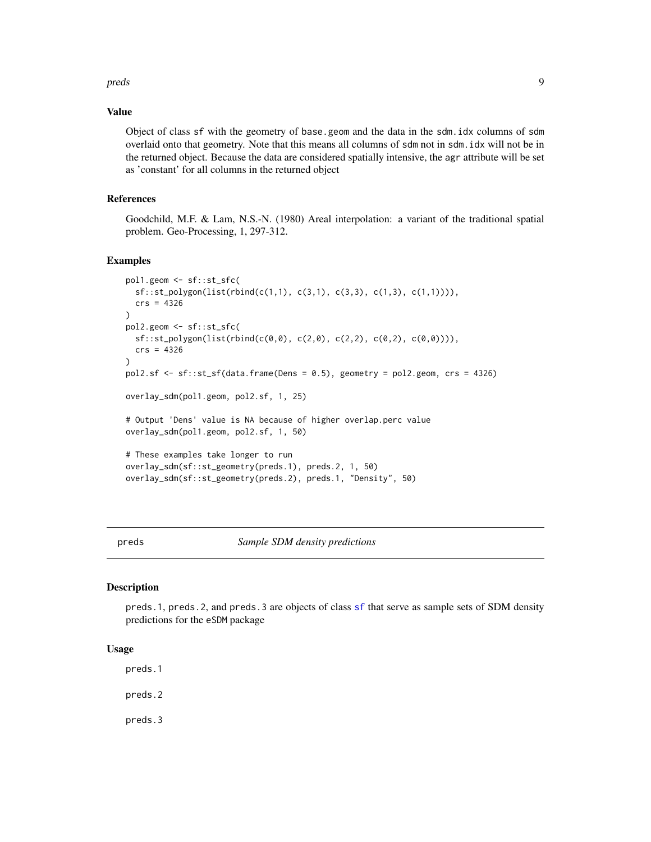#### <span id="page-8-0"></span>preds the contract of the contract of the contract of the contract of the contract of the contract of the contract of the contract of the contract of the contract of the contract of the contract of the contract of the cont

# Value

Object of class sf with the geometry of base.geom and the data in the sdm.idx columns of sdm overlaid onto that geometry. Note that this means all columns of sdm not in sdm.idx will not be in the returned object. Because the data are considered spatially intensive, the agr attribute will be set as 'constant' for all columns in the returned object

# References

Goodchild, M.F. & Lam, N.S.-N. (1980) Areal interpolation: a variant of the traditional spatial problem. Geo-Processing, 1, 297-312.

# Examples

```
pol1.geom <- sf::st_sfc(
  sf::st_polygon(list(rbind(c(1,1), c(3,1), c(3,3), c(1,3), c(1,1)))),
  crs = 4326
)
pol2.geom <- sf::st_sfc(
  sf::st_polygon(list(rbind(c(0,0), c(2,0), c(2,2), c(0,2), c(0,0)))),
  crs = 4326
)
pol2.sf <- sf::st_sf(data.frame(Dens = 0.5), geometry = pol2.geom, crs = 4326)
overlay_sdm(pol1.geom, pol2.sf, 1, 25)
# Output 'Dens' value is NA because of higher overlap.perc value
overlay_sdm(pol1.geom, pol2.sf, 1, 50)
# These examples take longer to run
overlay_sdm(sf::st_geometry(preds.1), preds.2, 1, 50)
overlay_sdm(sf::st_geometry(preds.2), preds.1, "Density", 50)
```
preds *Sample SDM density predictions*

#### Description

preds.1, preds.2, and preds.3 are objects of class [sf](#page-0-0) that serve as sample sets of SDM density predictions for the eSDM package

# Usage

preds.1

preds.2

preds.3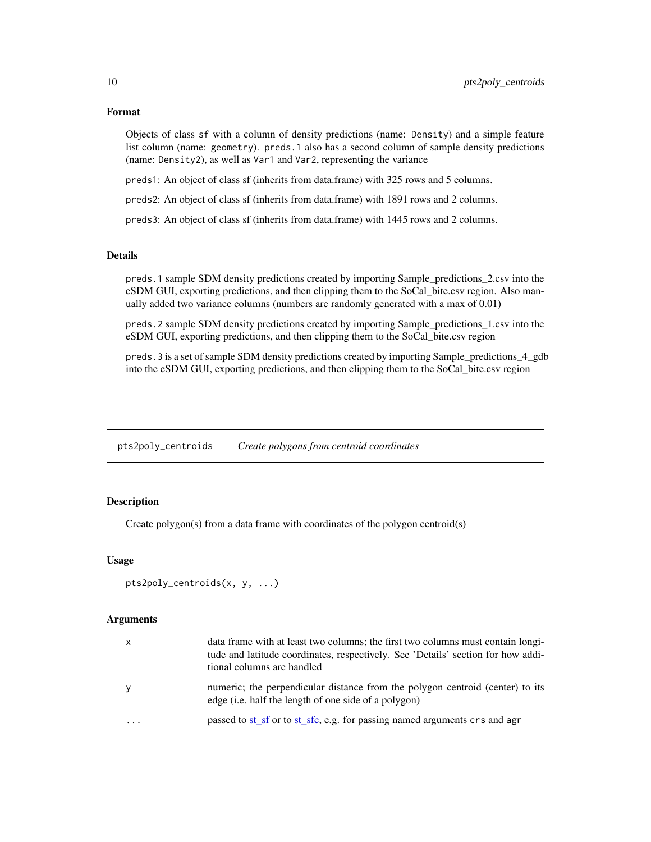# Format

Objects of class sf with a column of density predictions (name: Density) and a simple feature list column (name: geometry). preds.1 also has a second column of sample density predictions (name: Density2), as well as Var1 and Var2, representing the variance

preds1: An object of class sf (inherits from data.frame) with 325 rows and 5 columns.

preds2: An object of class sf (inherits from data.frame) with 1891 rows and 2 columns.

preds3: An object of class sf (inherits from data.frame) with 1445 rows and 2 columns.

# Details

preds.1 sample SDM density predictions created by importing Sample\_predictions\_2.csv into the eSDM GUI, exporting predictions, and then clipping them to the SoCal\_bite.csv region. Also manually added two variance columns (numbers are randomly generated with a max of 0.01)

preds.2 sample SDM density predictions created by importing Sample\_predictions\_1.csv into the eSDM GUI, exporting predictions, and then clipping them to the SoCal\_bite.csv region

preds. 3 is a set of sample SDM density predictions created by importing Sample\_predictions\_4\_gdb into the eSDM GUI, exporting predictions, and then clipping them to the SoCal\_bite.csv region

pts2poly\_centroids *Create polygons from centroid coordinates*

# Description

Create polygon(s) from a data frame with coordinates of the polygon centroid(s)

# Usage

```
pts2poly_centroids(x, y, ...)
```
#### Arguments

| $\mathsf{x}$ | data frame with at least two columns; the first two columns must contain long-<br>tude and latitude coordinates, respectively. See 'Details' section for how addi-<br>tional columns are handled |
|--------------|--------------------------------------------------------------------------------------------------------------------------------------------------------------------------------------------------|
| y            | numeric; the perpendicular distance from the polygon centroid (center) to its<br>edge (i.e. half the length of one side of a polygon)                                                            |
| $\ddotsc$    | passed to st_sf or to st_sfc, e.g. for passing named arguments crs and agr                                                                                                                       |

<span id="page-9-0"></span>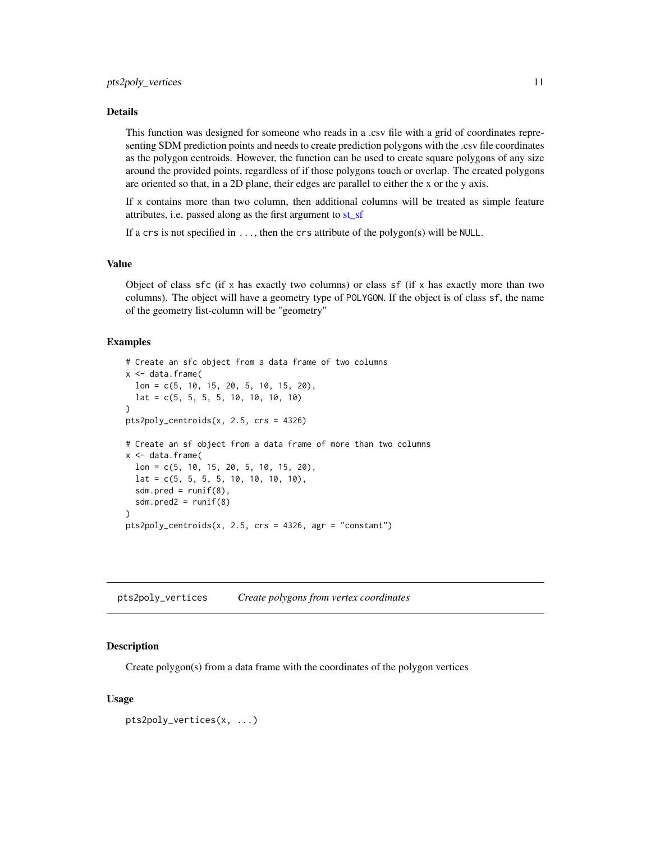#### <span id="page-10-0"></span>Details

This function was designed for someone who reads in a .csv file with a grid of coordinates representing SDM prediction points and needs to create prediction polygons with the .csv file coordinates as the polygon centroids. However, the function can be used to create square polygons of any size around the provided points, regardless of if those polygons touch or overlap. The created polygons are oriented so that, in a 2D plane, their edges are parallel to either the x or the y axis.

If x contains more than two column, then additional columns will be treated as simple feature attributes, i.e. passed along as the first argument to [st\\_sf](#page-0-0)

If a crs is not specified in ..., then the crs attribute of the polygon(s) will be NULL.

#### Value

Object of class  $sfc$  (if x has exactly two columns) or class  $sf$  (if x has exactly more than two columns). The object will have a geometry type of POLYGON. If the object is of class sf, the name of the geometry list-column will be "geometry"

#### Examples

```
# Create an sfc object from a data frame of two columns
x < - data.frame(
 lon = c(5, 10, 15, 20, 5, 10, 15, 20),
 lat = c(5, 5, 5, 5, 10, 10, 10, 10)
)
pts2poly_centroids(x, 2.5, crs = 4326)
# Create an sf object from a data frame of more than two columns
x <- data.frame(
 lon = c(5, 10, 15, 20, 5, 10, 15, 20),
 lat = c(5, 5, 5, 5, 10, 10, 10, 10),
 sdm.pred = runif(8),
 sdm.pred2 = runif(8))
pts2poly_centroids(x, 2.5, crs = 4326, agr = "constant")
```
pts2poly\_vertices *Create polygons from vertex coordinates*

# **Description**

Create polygon(s) from a data frame with the coordinates of the polygon vertices

# Usage

```
pts2poly_vertices(x, ...)
```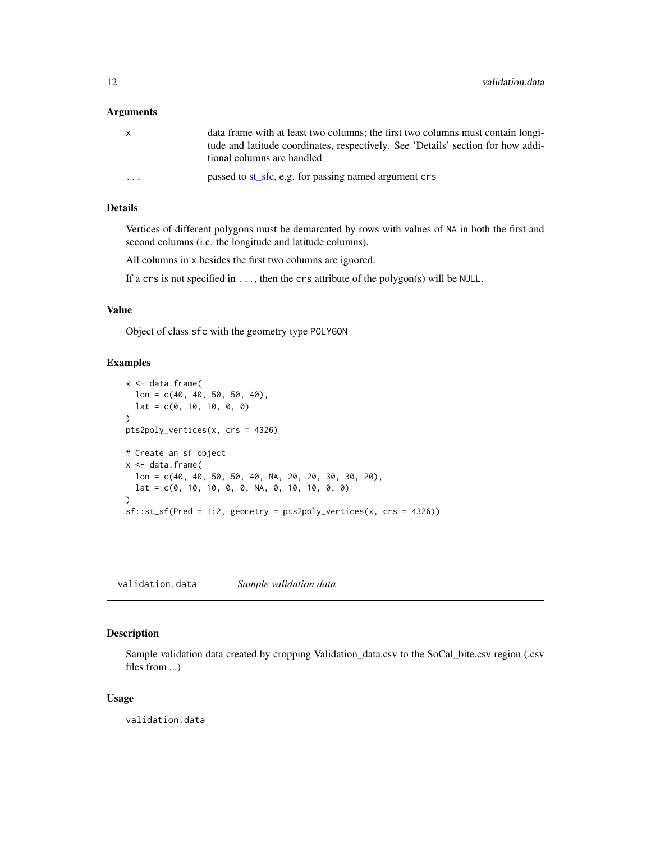#### <span id="page-11-0"></span>**Arguments**

| X                       | data frame with at least two columns; the first two columns must contain long-<br>tude and latitude coordinates, respectively. See 'Details' section for how addi-<br>tional columns are handled |
|-------------------------|--------------------------------------------------------------------------------------------------------------------------------------------------------------------------------------------------|
| $\cdot$ $\cdot$ $\cdot$ | passed to st_sfc, e.g. for passing named argument crs                                                                                                                                            |

# Details

Vertices of different polygons must be demarcated by rows with values of NA in both the first and second columns (i.e. the longitude and latitude columns).

All columns in x besides the first two columns are ignored.

If a crs is not specified in  $\dots$ , then the crs attribute of the polygon(s) will be NULL.

# Value

Object of class sfc with the geometry type POLYGON

# Examples

```
x <- data.frame(
 lon = c(40, 40, 50, 50, 40),lat = c(0, 10, 10, 0, 0)\lambdapts2poly_vertices(x, crs = 4326)
# Create an sf object
x < - data.frame(
  lon = c(40, 40, 50, 50, 40, NA, 20, 20, 30, 30, 20),
  lat = c(0, 10, 10, 0, 0, NA, 0, 10, 10, 0, 0))
sf::st_sf(Pred = 1:2, geometry = pts2poly_vertices(x, crs = 4326))
```
validation.data *Sample validation data*

# Description

Sample validation data created by cropping Validation\_data.csv to the SoCal\_bite.csv region (.csv files from ...)

# Usage

validation.data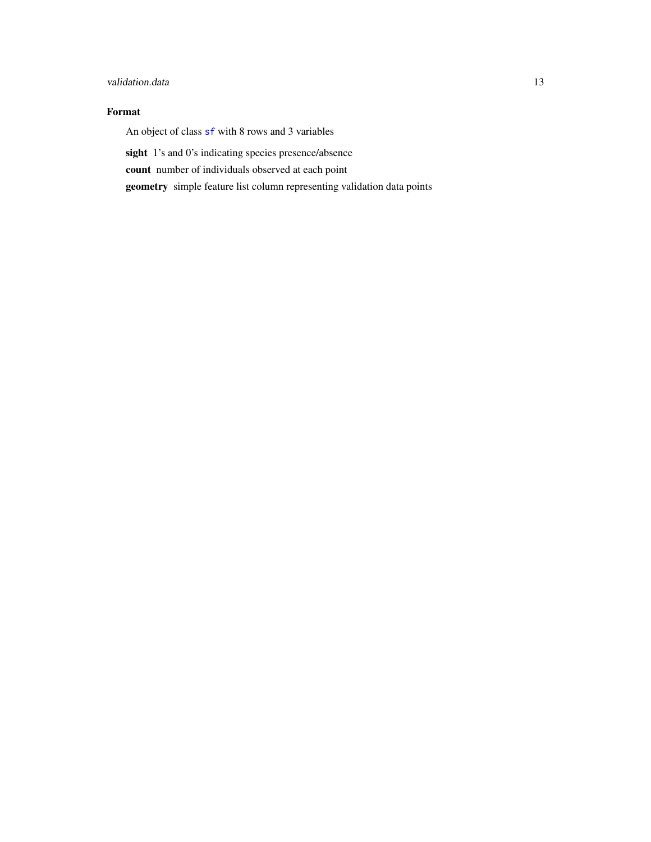# <span id="page-12-0"></span>validation.data 13

# Format

An object of class [sf](#page-0-0) with 8 rows and 3 variables

sight 1's and 0's indicating species presence/absence

count number of individuals observed at each point

geometry simple feature list column representing validation data points